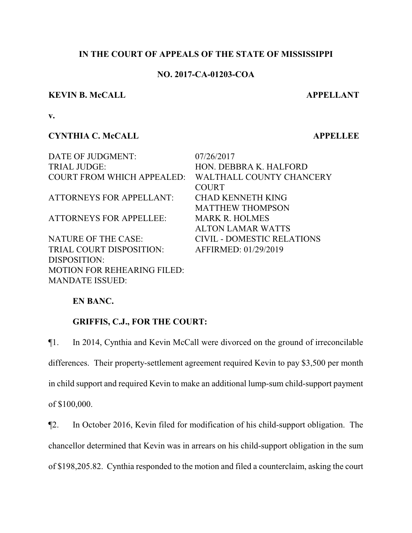## **IN THE COURT OF APPEALS OF THE STATE OF MISSISSIPPI**

## **NO. 2017-CA-01203-COA**

#### **KEVIN B. McCALL APPELLANT**

**v.**

# **CYNTHIA C. McCALL APPELLEE**

DATE OF JUDGMENT: 07/26/2017 TRIAL JUDGE: HON. DEBBRA K. HALFORD COURT FROM WHICH APPEALED: WALTHALL COUNTY CHANCERY COURT ATTORNEYS FOR APPELLANT: CHAD KENNETH KING MATTHEW THOMPSON ATTORNEYS FOR APPELLEE: MARK R. HOLMES ALTON LAMAR WATTS NATURE OF THE CASE: CIVIL - DOMESTIC RELATIONS TRIAL COURT DISPOSITION: AFFIRMED: 01/29/2019 DISPOSITION: MOTION FOR REHEARING FILED:

# **EN BANC.**

MANDATE ISSUED:

# **GRIFFIS, C.J., FOR THE COURT:**

¶1. In 2014, Cynthia and Kevin McCall were divorced on the ground of irreconcilable differences. Their property-settlement agreement required Kevin to pay \$3,500 per month in child support and required Kevin to make an additional lump-sum child-support payment of \$100,000.

¶2. In October 2016, Kevin filed for modification of his child-support obligation. The chancellor determined that Kevin was in arrears on his child-support obligation in the sum of \$198,205.82. Cynthia responded to the motion and filed a counterclaim, asking the court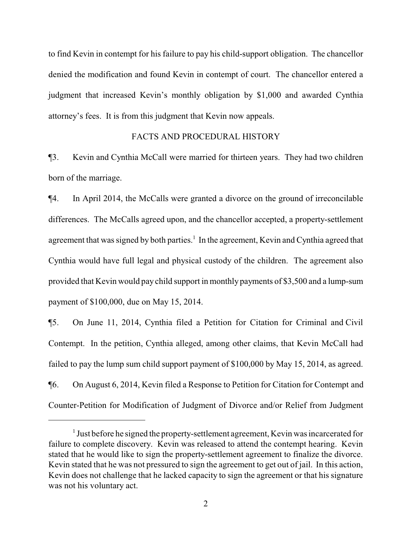to find Kevin in contempt for his failure to pay his child-support obligation. The chancellor denied the modification and found Kevin in contempt of court. The chancellor entered a judgment that increased Kevin's monthly obligation by \$1,000 and awarded Cynthia attorney's fees. It is from this judgment that Kevin now appeals.

#### FACTS AND PROCEDURAL HISTORY

¶3. Kevin and Cynthia McCall were married for thirteen years. They had two children born of the marriage.

¶4. In April 2014, the McCalls were granted a divorce on the ground of irreconcilable differences. The McCalls agreed upon, and the chancellor accepted, a property-settlement agreement that was signed by both parties.<sup>1</sup> In the agreement, Kevin and Cynthia agreed that Cynthia would have full legal and physical custody of the children. The agreement also provided that Kevin would pay child support in monthly payments of \$3,500 and a lump-sum payment of \$100,000, due on May 15, 2014.

¶5. On June 11, 2014, Cynthia filed a Petition for Citation for Criminal and Civil Contempt. In the petition, Cynthia alleged, among other claims, that Kevin McCall had failed to pay the lump sum child support payment of \$100,000 by May 15, 2014, as agreed. ¶6. On August 6, 2014, Kevin filed a Response to Petition for Citation for Contempt and Counter-Petition for Modification of Judgment of Divorce and/or Relief from Judgment

<sup>&</sup>lt;sup>1</sup> Just before he signed the property-settlement agreement, Kevin was incarcerated for failure to complete discovery. Kevin was released to attend the contempt hearing. Kevin stated that he would like to sign the property-settlement agreement to finalize the divorce. Kevin stated that he was not pressured to sign the agreement to get out of jail. In this action, Kevin does not challenge that he lacked capacity to sign the agreement or that his signature was not his voluntary act.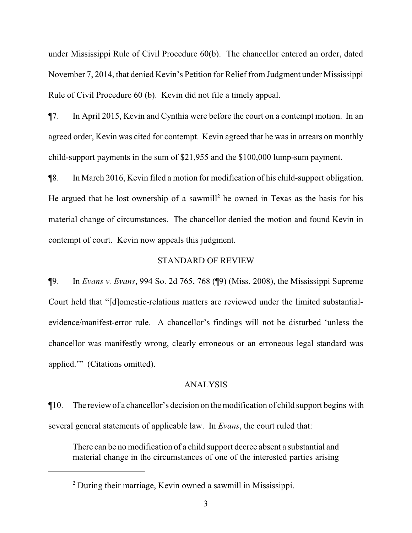under Mississippi Rule of Civil Procedure 60(b). The chancellor entered an order, dated November 7, 2014, that denied Kevin's Petition for Relief from Judgment under Mississippi Rule of Civil Procedure 60 (b). Kevin did not file a timely appeal.

¶7. In April 2015, Kevin and Cynthia were before the court on a contempt motion. In an agreed order, Kevin was cited for contempt. Kevin agreed that he was in arrears on monthly child-support payments in the sum of \$21,955 and the \$100,000 lump-sum payment.

¶8. In March 2016, Kevin filed a motion for modification of his child-support obligation. He argued that he lost ownership of a sawmill 2 he owned in Texas as the basis for his material change of circumstances. The chancellor denied the motion and found Kevin in contempt of court. Kevin now appeals this judgment.

### STANDARD OF REVIEW

¶9. In *Evans v. Evans*, 994 So. 2d 765, 768 (¶9) (Miss. 2008), the Mississippi Supreme Court held that "[d]omestic-relations matters are reviewed under the limited substantialevidence/manifest-error rule. A chancellor's findings will not be disturbed 'unless the chancellor was manifestly wrong, clearly erroneous or an erroneous legal standard was applied.'" (Citations omitted).

#### ANALYSIS

¶10. The review of a chancellor's decision on the modification of child support begins with several general statements of applicable law. In *Evans*, the court ruled that:

There can be no modification of a child support decree absent a substantial and material change in the circumstances of one of the interested parties arising

<sup>&</sup>lt;sup>2</sup> During their marriage, Kevin owned a sawmill in Mississippi.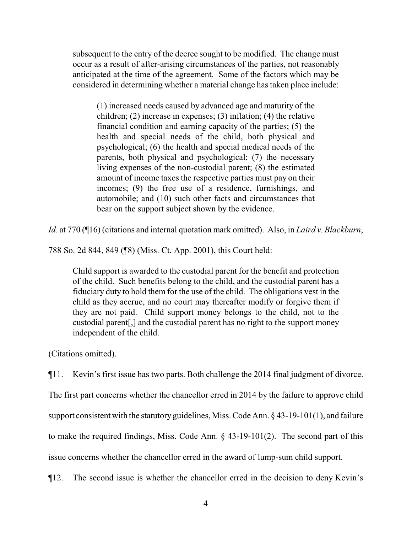subsequent to the entry of the decree sought to be modified. The change must occur as a result of after-arising circumstances of the parties, not reasonably anticipated at the time of the agreement. Some of the factors which may be considered in determining whether a material change has taken place include:

(1) increased needs caused by advanced age and maturity of the children; (2) increase in expenses; (3) inflation; (4) the relative financial condition and earning capacity of the parties; (5) the health and special needs of the child, both physical and psychological; (6) the health and special medical needs of the parents, both physical and psychological; (7) the necessary living expenses of the non-custodial parent; (8) the estimated amount of income taxes the respective parties must pay on their incomes; (9) the free use of a residence, furnishings, and automobile; and (10) such other facts and circumstances that bear on the support subject shown by the evidence.

*Id.* at 770 (¶16) (citations and internal quotation mark omitted). Also, in *Laird v. Blackburn*,

788 So. 2d 844, 849 (¶8) (Miss. Ct. App. 2001), this Court held:

Child support is awarded to the custodial parent for the benefit and protection of the child. Such benefits belong to the child, and the custodial parent has a fiduciary duty to hold them for the use of the child. The obligations vest in the child as they accrue, and no court may thereafter modify or forgive them if they are not paid. Child support money belongs to the child, not to the custodial parent[,] and the custodial parent has no right to the support money independent of the child.

(Citations omitted).

¶11. Kevin's first issue has two parts. Both challenge the 2014 final judgment of divorce.

The first part concerns whether the chancellor erred in 2014 by the failure to approve child

support consistent with the statutory guidelines, Miss. Code Ann. § 43-19-101(1), and failure

to make the required findings, Miss. Code Ann. § 43-19-101(2). The second part of this

issue concerns whether the chancellor erred in the award of lump-sum child support.

¶12. The second issue is whether the chancellor erred in the decision to deny Kevin's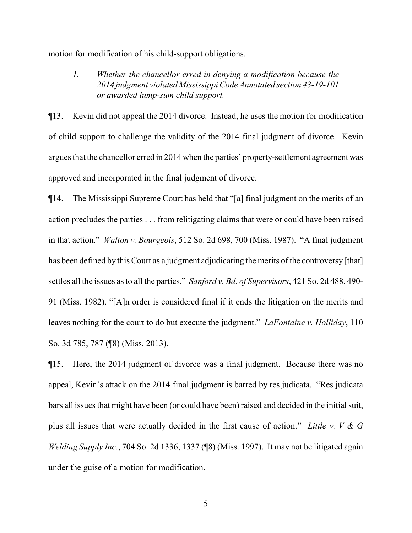motion for modification of his child-support obligations.

*1. Whether the chancellor erred in denying a modification because the 2014 judgment violated Mississippi Code Annotated section 43-19-101 or awarded lump-sum child support.*

¶13. Kevin did not appeal the 2014 divorce. Instead, he uses the motion for modification of child support to challenge the validity of the 2014 final judgment of divorce. Kevin argues that the chancellor erred in 2014 when the parties' property-settlement agreement was approved and incorporated in the final judgment of divorce.

¶14. The Mississippi Supreme Court has held that "[a] final judgment on the merits of an action precludes the parties . . . from relitigating claims that were or could have been raised in that action." *Walton v. Bourgeois*, 512 So. 2d 698, 700 (Miss. 1987). "A final judgment has been defined by this Court as a judgment adjudicating the merits of the controversy [that] settles all the issues as to all the parties." *Sanford v. Bd. of Supervisors*, 421 So. 2d 488, 490- 91 (Miss. 1982). "[A]n order is considered final if it ends the litigation on the merits and leaves nothing for the court to do but execute the judgment." *LaFontaine v. Holliday*, 110 So. 3d 785, 787 (¶8) (Miss. 2013).

¶15. Here, the 2014 judgment of divorce was a final judgment. Because there was no appeal, Kevin's attack on the 2014 final judgment is barred by res judicata. "Res judicata bars all issues that might have been (or could have been) raised and decided in the initial suit, plus all issues that were actually decided in the first cause of action." *Little v. V & G Welding Supply Inc.*, 704 So. 2d 1336, 1337 (¶8) (Miss. 1997). It may not be litigated again under the guise of a motion for modification.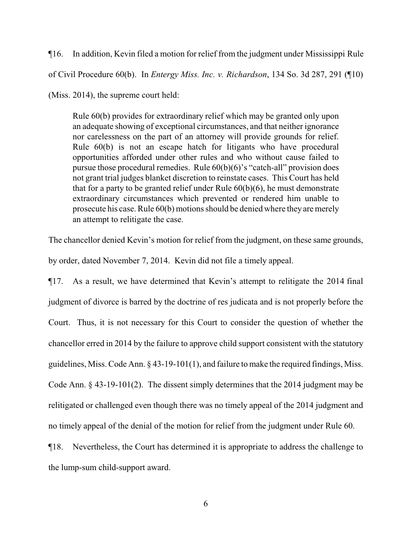¶16. In addition, Kevin filed a motion for relief from the judgment under Mississippi Rule of Civil Procedure 60(b). In *Entergy Miss. Inc. v. Richardson*, 134 So. 3d 287, 291 (¶10) (Miss. 2014), the supreme court held:

Rule 60(b) provides for extraordinary relief which may be granted only upon an adequate showing of exceptional circumstances, and that neither ignorance nor carelessness on the part of an attorney will provide grounds for relief. Rule 60(b) is not an escape hatch for litigants who have procedural opportunities afforded under other rules and who without cause failed to pursue those procedural remedies. Rule 60(b)(6)'s "catch-all" provision does not grant trial judges blanket discretion to reinstate cases. This Court has held that for a party to be granted relief under Rule 60(b)(6), he must demonstrate extraordinary circumstances which prevented or rendered him unable to prosecute his case. Rule 60(b) motions should be denied where they are merely an attempt to relitigate the case.

The chancellor denied Kevin's motion for relief from the judgment, on these same grounds,

by order, dated November 7, 2014. Kevin did not file a timely appeal.

¶17. As a result, we have determined that Kevin's attempt to relitigate the 2014 final judgment of divorce is barred by the doctrine of res judicata and is not properly before the Court. Thus, it is not necessary for this Court to consider the question of whether the chancellor erred in 2014 by the failure to approve child support consistent with the statutory guidelines, Miss. Code Ann. § 43-19-101(1), and failure to make the required findings, Miss. Code Ann. § 43-19-101(2). The dissent simply determines that the 2014 judgment may be relitigated or challenged even though there was no timely appeal of the 2014 judgment and no timely appeal of the denial of the motion for relief from the judgment under Rule 60.

¶18. Nevertheless, the Court has determined it is appropriate to address the challenge to the lump-sum child-support award.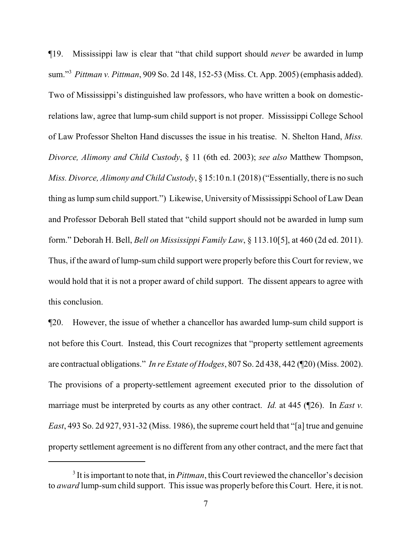¶19. Mississippi law is clear that "that child support should *never* be awarded in lump sum."<sup>3</sup> *Pittman v. Pittman*, 909 So. 2d 148, 152-53 (Miss. Ct. App. 2005) (emphasis added). Two of Mississippi's distinguished law professors, who have written a book on domesticrelations law, agree that lump-sum child support is not proper. Mississippi College School of Law Professor Shelton Hand discusses the issue in his treatise. N. Shelton Hand, *Miss. Divorce, Alimony and Child Custody*, § 11 (6th ed. 2003); *see also* Matthew Thompson, *Miss. Divorce, Alimony and Child Custody*, § 15:10 n.1 (2018) ("Essentially, there is no such thing as lump sum child support.") Likewise, University of Mississippi School of Law Dean and Professor Deborah Bell stated that "child support should not be awarded in lump sum form." Deborah H. Bell, *Bell on Mississippi Family Law*, § 113.10[5], at 460 (2d ed. 2011). Thus, if the award of lump-sum child support were properly before this Court for review, we would hold that it is not a proper award of child support. The dissent appears to agree with this conclusion.

¶20. However, the issue of whether a chancellor has awarded lump-sum child support is not before this Court. Instead, this Court recognizes that "property settlement agreements are contractual obligations." *In re Estate of Hodges*, 807 So. 2d 438, 442 (¶20) (Miss. 2002). The provisions of a property-settlement agreement executed prior to the dissolution of marriage must be interpreted by courts as any other contract. *Id.* at 445 (¶26). In *East v. East*, 493 So. 2d 927, 931-32 (Miss. 1986), the supreme court held that "[a] true and genuine property settlement agreement is no different from any other contract, and the mere fact that

<sup>&</sup>lt;sup>3</sup> It is important to note that, in *Pittman*, this Court reviewed the chancellor's decision to *award* lump-sum child support. This issue was properly before this Court. Here, it is not.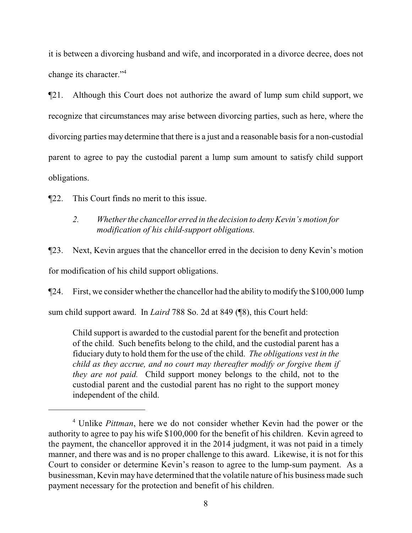it is between a divorcing husband and wife, and incorporated in a divorce decree, does not change its character."<sup>4</sup>

¶21. Although this Court does not authorize the award of lump sum child support, we recognize that circumstances may arise between divorcing parties, such as here, where the divorcing parties may determine that there is a just and a reasonable basis for a non-custodial parent to agree to pay the custodial parent a lump sum amount to satisfy child support obligations.

¶22. This Court finds no merit to this issue.

# *2. Whether the chancellor erred in the decision to deny Kevin's motion for modification of his child-support obligations.*

¶23. Next, Kevin argues that the chancellor erred in the decision to deny Kevin's motion for modification of his child support obligations.

¶24. First, we consider whether the chancellor had the ability to modify the \$100,000 lump sum child support award. In *Laird* 788 So. 2d at 849 (¶8), this Court held:

Child support is awarded to the custodial parent for the benefit and protection of the child. Such benefits belong to the child, and the custodial parent has a fiduciary duty to hold them for the use of the child. *The obligations vest in the child as they accrue, and no court may thereafter modify or forgive them if they are not paid.* Child support money belongs to the child, not to the custodial parent and the custodial parent has no right to the support money independent of the child.

<sup>4</sup> Unlike *Pittman*, here we do not consider whether Kevin had the power or the authority to agree to pay his wife \$100,000 for the benefit of his children. Kevin agreed to the payment, the chancellor approved it in the 2014 judgment, it was not paid in a timely manner, and there was and is no proper challenge to this award. Likewise, it is not for this Court to consider or determine Kevin's reason to agree to the lump-sum payment. As a businessman, Kevin may have determined that the volatile nature of his business made such payment necessary for the protection and benefit of his children.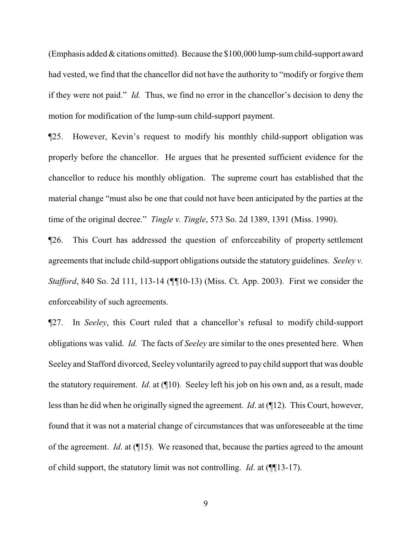(Emphasis added & citations omitted). Because the \$100,000 lump-sumchild-support award had vested, we find that the chancellor did not have the authority to "modify or forgive them if they were not paid." *Id.* Thus, we find no error in the chancellor's decision to deny the motion for modification of the lump-sum child-support payment.

¶25. However, Kevin's request to modify his monthly child-support obligation was properly before the chancellor. He argues that he presented sufficient evidence for the chancellor to reduce his monthly obligation. The supreme court has established that the material change "must also be one that could not have been anticipated by the parties at the time of the original decree." *Tingle v. Tingle*, 573 So. 2d 1389, 1391 (Miss. 1990).

¶26. This Court has addressed the question of enforceability of property settlement agreements that include child-support obligations outside the statutory guidelines. *Seeley v. Stafford*, 840 So. 2d 111, 113-14 (*¶¶*10-13) (Miss. Ct. App. 2003). First we consider the enforceability of such agreements.

¶27. In *Seeley*, this Court ruled that a chancellor's refusal to modify child-support obligations was valid. *Id.* The facts of *Seeley* are similar to the ones presented here. When Seeley and Stafford divorced, Seeley voluntarily agreed to pay child support that was double the statutory requirement. *Id*. at (¶10). Seeley left his job on his own and, as a result, made less than he did when he originally signed the agreement. *Id*. at (¶12). This Court, however, found that it was not a material change of circumstances that was unforeseeable at the time of the agreement. *Id*. at (¶15). We reasoned that, because the parties agreed to the amount of child support, the statutory limit was not controlling. *Id*. at (¶¶13-17).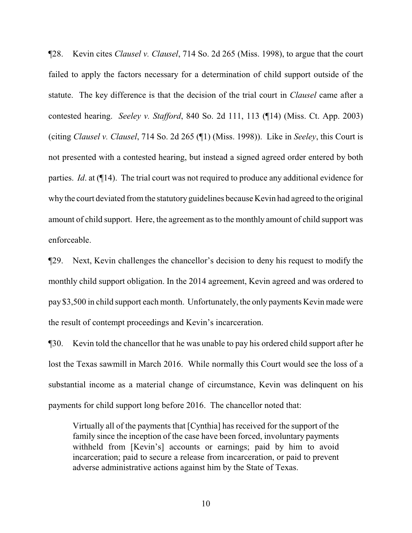¶28. Kevin cites *Clausel v. Clausel*, 714 So. 2d 265 (Miss. 1998), to argue that the court failed to apply the factors necessary for a determination of child support outside of the statute. The key difference is that the decision of the trial court in *Clausel* came after a contested hearing. *Seeley v. Stafford*, 840 So. 2d 111, 113 (¶14) (Miss. Ct. App. 2003) (citing *Clausel v. Clausel*, 714 So. 2d 265 (¶1) (Miss. 1998)). Like in *Seeley*, this Court is not presented with a contested hearing, but instead a signed agreed order entered by both parties. *Id*. at (¶14). The trial court was not required to produce any additional evidence for whythe court deviated fromthe statutory guidelines because Kevin had agreed to the original amount of child support. Here, the agreement as to the monthly amount of child support was enforceable.

¶29. Next, Kevin challenges the chancellor's decision to deny his request to modify the monthly child support obligation. In the 2014 agreement, Kevin agreed and was ordered to pay \$3,500 in child support each month. Unfortunately, the only payments Kevin made were the result of contempt proceedings and Kevin's incarceration.

¶30. Kevin told the chancellor that he was unable to pay his ordered child support after he lost the Texas sawmill in March 2016. While normally this Court would see the loss of a substantial income as a material change of circumstance, Kevin was delinquent on his payments for child support long before 2016. The chancellor noted that:

Virtually all of the payments that [Cynthia] has received for the support of the family since the inception of the case have been forced, involuntary payments withheld from [Kevin's] accounts or earnings; paid by him to avoid incarceration; paid to secure a release from incarceration, or paid to prevent adverse administrative actions against him by the State of Texas.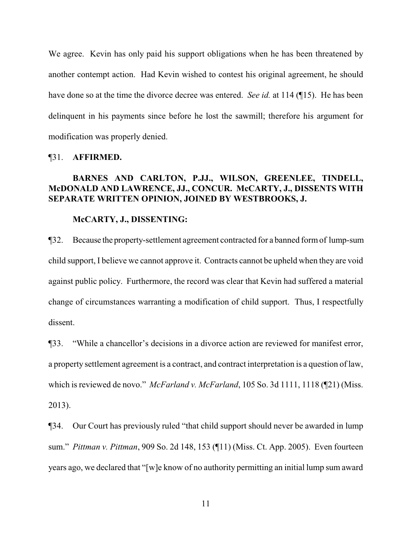We agree. Kevin has only paid his support obligations when he has been threatened by another contempt action. Had Kevin wished to contest his original agreement, he should have done so at the time the divorce decree was entered. *See id.* at 114 (¶15). He has been delinquent in his payments since before he lost the sawmill; therefore his argument for modification was properly denied.

#### ¶31. **AFFIRMED.**

# **BARNES AND CARLTON, P.JJ., WILSON, GREENLEE, TINDELL, McDONALD AND LAWRENCE, JJ., CONCUR. McCARTY, J., DISSENTS WITH SEPARATE WRITTEN OPINION, JOINED BY WESTBROOKS, J.**

#### **McCARTY, J., DISSENTING:**

¶32. Because the property-settlement agreement contracted for a banned formof lump-sum child support, I believe we cannot approve it. Contracts cannot be upheld when they are void against public policy. Furthermore, the record was clear that Kevin had suffered a material change of circumstances warranting a modification of child support. Thus, I respectfully dissent.

¶33. "While a chancellor's decisions in a divorce action are reviewed for manifest error, a property settlement agreement is a contract, and contract interpretation is a question of law, which is reviewed de novo." *McFarland v. McFarland*, 105 So. 3d 1111, 1118 (¶21) (Miss. 2013).

¶34. Our Court has previously ruled "that child support should never be awarded in lump sum." *Pittman v. Pittman*, 909 So. 2d 148, 153 (¶11) (Miss. Ct. App. 2005). Even fourteen years ago, we declared that "[w]e know of no authority permitting an initial lump sum award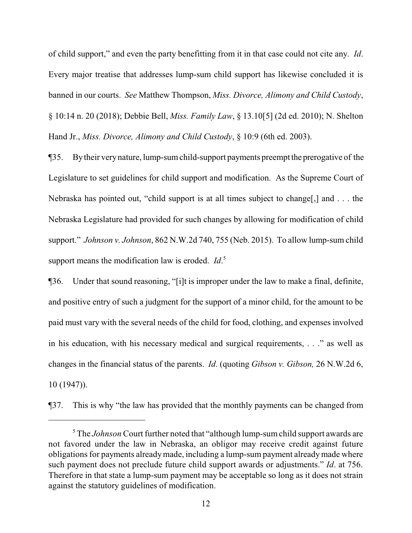of child support," and even the party benefitting from it in that case could not cite any. *Id*. Every major treatise that addresses lump-sum child support has likewise concluded it is banned in our courts. *See* Matthew Thompson, *Miss. Divorce, Alimony and Child Custody*, § 10:14 n. 20 (2018); Debbie Bell, *Miss. Family Law*, § 13.10[5] (2d ed. 2010); N. Shelton Hand Jr., *Miss. Divorce, Alimony and Child Custody*, § 10:9 (6th ed. 2003).

¶35. Bytheir verynature, lump-sumchild-support payments preempt the prerogative of the Legislature to set guidelines for child support and modification. As the Supreme Court of Nebraska has pointed out, "child support is at all times subject to change[,] and . . . the Nebraska Legislature had provided for such changes by allowing for modification of child support." *Johnson v. Johnson*, 862 N.W.2d 740, 755 (Neb. 2015). To allow lump-sum child support means the modification law is eroded. *Id*. 5

¶36. Under that sound reasoning, "[i]t is improper under the law to make a final, definite, and positive entry of such a judgment for the support of a minor child, for the amount to be paid must vary with the several needs of the child for food, clothing, and expenses involved in his education, with his necessary medical and surgical requirements, . . ." as well as changes in the financial status of the parents. *Id*. (quoting *Gibson v. Gibson,* 26 N.W.2d 6, 10 (1947)).

¶37. This is why "the law has provided that the monthly payments can be changed from

<sup>5</sup> The *Johnson* Court further noted that "although lump-sum child support awards are not favored under the law in Nebraska, an obligor may receive credit against future obligations for payments alreadymade, including a lump-sum payment alreadymade where such payment does not preclude future child support awards or adjustments." *Id*. at 756. Therefore in that state a lump-sum payment may be acceptable so long as it does not strain against the statutory guidelines of modification.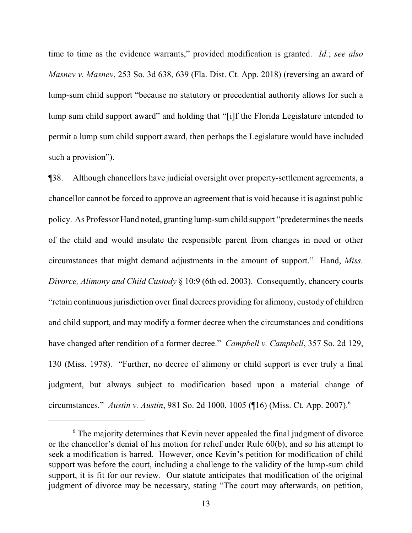time to time as the evidence warrants," provided modification is granted. *Id.*; *see also Masnev v. Masnev*, 253 So. 3d 638, 639 (Fla. Dist. Ct. App. 2018) (reversing an award of lump-sum child support "because no statutory or precedential authority allows for such a lump sum child support award" and holding that "[i]f the Florida Legislature intended to permit a lump sum child support award, then perhaps the Legislature would have included such a provision").

¶38. Although chancellors have judicial oversight over property-settlement agreements, a chancellor cannot be forced to approve an agreement that is void because it is against public policy. As Professor Hand noted, granting lump-sumchild support "predetermines the needs of the child and would insulate the responsible parent from changes in need or other circumstances that might demand adjustments in the amount of support." Hand, *Miss. Divorce, Alimony and Child Custody* § 10:9 (6th ed. 2003). Consequently, chancery courts "retain continuous jurisdiction over final decrees providing for alimony, custody of children and child support, and may modify a former decree when the circumstances and conditions have changed after rendition of a former decree." *Campbell v. Campbell*, 357 So. 2d 129, 130 (Miss. 1978). "Further, no decree of alimony or child support is ever truly a final judgment, but always subject to modification based upon a material change of circumstances." *Austin v. Austin*, 981 So. 2d 1000, 1005 (¶16) (Miss. Ct. App. 2007).<sup>6</sup>

<sup>&</sup>lt;sup>6</sup> The majority determines that Kevin never appealed the final judgment of divorce or the chancellor's denial of his motion for relief under Rule 60(b), and so his attempt to seek a modification is barred. However, once Kevin's petition for modification of child support was before the court, including a challenge to the validity of the lump-sum child support, it is fit for our review. Our statute anticipates that modification of the original judgment of divorce may be necessary, stating "The court may afterwards, on petition,